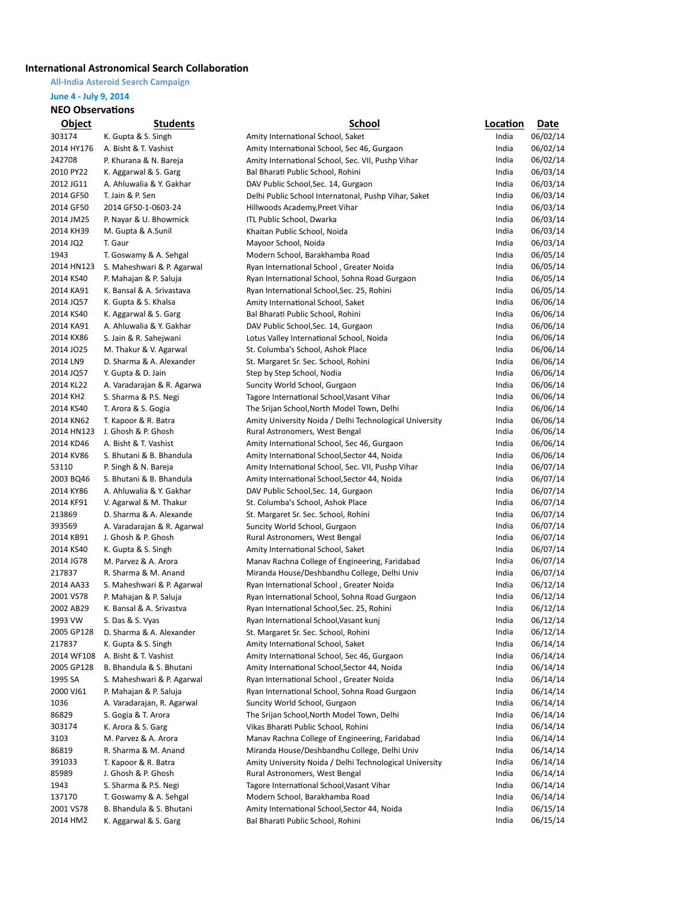## **International Astronomical Search Collaboration**

**All-India Asteroid Search Campaign**

# **June 4 - July 9, 2014**

#### **NEO Observations**

| <u>Object</u> | <b>Students</b>                              | School                                                                         | Location | Date     |
|---------------|----------------------------------------------|--------------------------------------------------------------------------------|----------|----------|
| 303174        | K. Gupta & S. Singh                          | Amity International School, Saket                                              | India    | 06/02/14 |
| 2014 HY176    | A. Bisht & T. Vashist                        | Amity International School, Sec 46, Gurgaon                                    | India    | 06/02/14 |
| 242708        | P. Khurana & N. Bareja                       | Amity International School, Sec. VII, Pushp Vihar                              | India    | 06/02/14 |
| 2010 PY22     | K. Aggarwal & S. Garg                        | Bal Bharati Public School, Rohini                                              | India    | 06/03/14 |
| 2012 JG11     | A. Ahluwalia & Y. Gakhar                     | DAV Public School, Sec. 14, Gurgaon                                            | India    | 06/03/14 |
| 2014 GF50     | T. Jain & P. Sen                             | Delhi Public School Internatonal, Pushp Vihar, Saket                           | India    | 06/03/14 |
| 2014 GF50     | 2014 GF50-1-0603-24                          | Hillwoods Academy, Preet Vihar                                                 | India    | 06/03/14 |
| 2014 JM25     | P. Nayar & U. Bhowmick                       | ITL Public School, Dwarka                                                      | India    | 06/03/14 |
| 2014 KH39     | M. Gupta & A.Sunil                           | Khaitan Public School, Noida                                                   | India    | 06/03/14 |
| 2014 JQ2      | T. Gaur                                      | Mayoor School, Noida                                                           | India    | 06/03/14 |
| 1943          |                                              |                                                                                | India    | 06/05/14 |
| 2014 HN123    | T. Goswamy & A. Sehgal                       | Modern School, Barakhamba Road                                                 | India    |          |
|               | S. Maheshwari & P. Agarwal                   | Ryan International School, Greater Noida                                       |          | 06/05/14 |
| 2014 KS40     | P. Mahajan & P. Saluja                       | Ryan International School, Sohna Road Gurgaon                                  | India    | 06/05/14 |
| 2014 KA91     | K. Bansal & A. Srivastava                    | Ryan International School, Sec. 25, Rohini                                     | India    | 06/05/14 |
| 2014 JQ57     | K. Gupta & S. Khalsa                         | Amity International School, Saket                                              | India    | 06/06/14 |
| 2014 KS40     | K. Aggarwal & S. Garg                        | Bal Bharati Public School, Rohini                                              | India    | 06/06/14 |
| 2014 KA91     | A. Ahluwalia & Y. Gakhar                     | DAV Public School, Sec. 14, Gurgaon                                            | India    | 06/06/14 |
| 2014 KX86     | S. Jain & R. Sahejwani                       | Lotus Valley International School, Noida                                       | India    | 06/06/14 |
| 2014 JO25     | M. Thakur & V. Agarwal                       | St. Columba's School, Ashok Place                                              | India    | 06/06/14 |
| 2014 LN9      | D. Sharma & A. Alexander                     | St. Margaret Sr. Sec. School, Rohini                                           | India    | 06/06/14 |
| 2014 JQ57     | Y. Gupta & D. Jain                           | Step by Step School, Nodia                                                     | India    | 06/06/14 |
| 2014 KL22     | A. Varadarajan & R. Agarwa                   | Suncity World School, Gurgaon                                                  | India    | 06/06/14 |
| 2014 KH2      | S. Sharma & P.S. Negi                        | Tagore International School, Vasant Vihar                                      | India    | 06/06/14 |
| 2014 KS40     | T. Arora & S. Gogia                          | The Srijan School, North Model Town, Delhi                                     | India    | 06/06/14 |
| 2014 KN62     | T. Kapoor & R. Batra                         | Amity University Noida / Delhi Technological University                        | India    | 06/06/14 |
| 2014 HN123    | J. Ghosh & P. Ghosh                          | Rural Astronomers, West Bengal                                                 | India    | 06/06/14 |
| 2014 KD46     | A. Bisht & T. Vashist                        | Amity International School, Sec 46, Gurgaon                                    | India    | 06/06/14 |
| 2014 KV86     | S. Bhutani & B. Bhandula                     | Amity International School, Sector 44, Noida                                   | India    | 06/06/14 |
| 53110         | P. Singh & N. Bareja                         | Amity International School, Sec. VII, Pushp Vihar                              | India    | 06/07/14 |
| 2003 BQ46     | S. Bhutani & B. Bhandula                     | Amity International School, Sector 44, Noida                                   | India    | 06/07/14 |
| 2014 KY86     | A. Ahluwalia & Y. Gakhar                     | DAV Public School, Sec. 14, Gurgaon                                            | India    | 06/07/14 |
| 2014 KF91     | V. Agarwal & M. Thakur                       | St. Columba's School, Ashok Place                                              | India    | 06/07/14 |
| 213869        | D. Sharma & A. Alexande                      | St. Margaret Sr. Sec. School, Rohini                                           | India    | 06/07/14 |
| 393569        | A. Varadarajan & R. Agarwal                  | Suncity World School, Gurgaon                                                  | India    | 06/07/14 |
| 2014 KB91     | J. Ghosh & P. Ghosh                          | Rural Astronomers, West Bengal                                                 | India    | 06/07/14 |
| 2014 KS40     | K. Gupta & S. Singh                          | Amity International School, Saket                                              | India    | 06/07/14 |
| 2014 JG78     | M. Parvez & A. Arora                         | Manav Rachna College of Engineering, Faridabad                                 | India    | 06/07/14 |
| 217837        | R. Sharma & M. Anand                         | Miranda House/Deshbandhu College, Delhi Univ                                   | India    | 06/07/14 |
| 2014 AA33     | S. Maheshwari & P. Agarwal                   | Ryan International School, Greater Noida                                       | India    | 06/12/14 |
| 2001 VS78     | P. Mahajan & P. Saluja                       | Ryan International School, Sohna Road Gurgaon                                  | India    | 06/12/14 |
| 2002 AB29     | K. Bansal & A. Srivastva                     | Ryan International School, Sec. 25, Rohini                                     | India    | 06/12/14 |
| 1993 VW       |                                              |                                                                                | India    | 06/12/14 |
| 2005 GP128    | S. Das & S. Vyas<br>D. Sharma & A. Alexander | Ryan International School, Vasant kunj<br>St. Margaret Sr. Sec. School, Rohini | India    |          |
|               |                                              |                                                                                |          | 06/12/14 |
| 217837        | K. Gupta & S. Singh                          | Amity International School, Saket                                              | India    | 06/14/14 |
| 2014 WF108    | A. Bisht & T. Vashist                        | Amity International School, Sec 46, Gurgaon                                    | India    | 06/14/14 |
| 2005 GP128    | B. Bhandula & S. Bhutani                     | Amity International School, Sector 44, Noida                                   | India    | 06/14/14 |
| 1995 SA       | S. Maheshwari & P. Agarwal                   | Ryan International School, Greater Noida                                       | India    | 06/14/14 |
| 2000 VJ61     | P. Mahajan & P. Saluja                       | Ryan International School, Sohna Road Gurgaon                                  | India    | 06/14/14 |
| 1036          | A. Varadarajan, R. Agarwal                   | Suncity World School, Gurgaon                                                  | India    | 06/14/14 |
| 86829         | S. Gogia & T. Arora                          | The Srijan School, North Model Town, Delhi                                     | India    | 06/14/14 |
| 303174        | K. Arora & S. Garg                           | Vikas Bharati Public School, Rohini                                            | India    | 06/14/14 |
| 3103          | M. Parvez & A. Arora                         | Manav Rachna College of Engineering, Faridabad                                 | India    | 06/14/14 |
| 86819         | R. Sharma & M. Anand                         | Miranda House/Deshbandhu College, Delhi Univ                                   | India    | 06/14/14 |
| 391033        | T. Kapoor & R. Batra                         | Amity University Noida / Delhi Technological University                        | India    | 06/14/14 |
| 85989         | J. Ghosh & P. Ghosh                          | Rural Astronomers, West Bengal                                                 | India    | 06/14/14 |
| 1943          | S. Sharma & P.S. Negi                        | Tagore International School, Vasant Vihar                                      | India    | 06/14/14 |
| 137170        | T. Goswamy & A. Sehgal                       | Modern School, Barakhamba Road                                                 | India    | 06/14/14 |
| 2001 VS78     | B. Bhandula & S. Bhutani                     | Amity International School, Sector 44, Noida                                   | India    | 06/15/14 |
| 2014 HM2      | K. Aggarwal & S. Garg                        | Bal Bharati Public School, Rohini                                              | India    | 06/15/14 |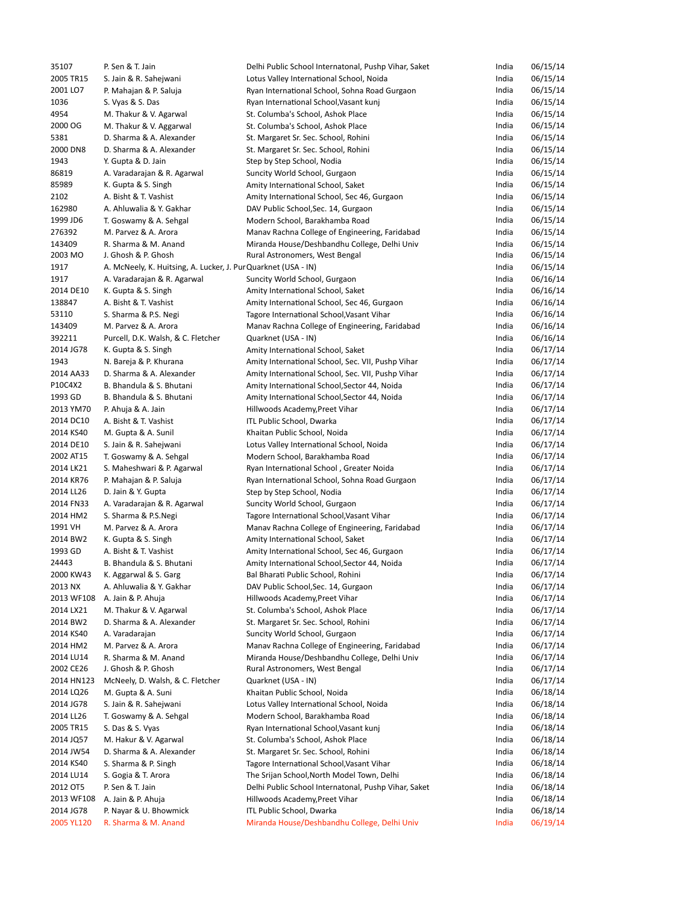| 35107      | P. Sen & T. Jain                                               | Delhi Public School Internatonal, Pushp Vihar, Saket | India | 06/15/14 |
|------------|----------------------------------------------------------------|------------------------------------------------------|-------|----------|
| 2005 TR15  | S. Jain & R. Sahejwani                                         | Lotus Valley International School, Noida             | India | 06/15/14 |
| 2001 LO7   | P. Mahajan & P. Saluja                                         | Ryan International School, Sohna Road Gurgaon        | India | 06/15/14 |
| 1036       | S. Vyas & S. Das                                               | Ryan International School, Vasant kunj               | India | 06/15/14 |
| 4954       | M. Thakur & V. Agarwal                                         | St. Columba's School, Ashok Place                    | India | 06/15/14 |
| 2000 OG    | M. Thakur & V. Aggarwal                                        | St. Columba's School, Ashok Place                    | India | 06/15/14 |
| 5381       | D. Sharma & A. Alexander                                       | St. Margaret Sr. Sec. School, Rohini                 | India | 06/15/14 |
| 2000 DN8   | D. Sharma & A. Alexander                                       | St. Margaret Sr. Sec. School, Rohini                 | India | 06/15/14 |
| 1943       | Y. Gupta & D. Jain                                             | Step by Step School, Nodia                           | India | 06/15/14 |
| 86819      | A. Varadarajan & R. Agarwal                                    | Suncity World School, Gurgaon                        | India | 06/15/14 |
| 85989      | K. Gupta & S. Singh                                            | Amity International School, Saket                    | India | 06/15/14 |
| 2102       | A. Bisht & T. Vashist                                          | Amity International School, Sec 46, Gurgaon          | India | 06/15/14 |
| 162980     | A. Ahluwalia & Y. Gakhar                                       | DAV Public School, Sec. 14, Gurgaon                  | India | 06/15/14 |
| 1999 JD6   |                                                                | Modern School, Barakhamba Road                       | India | 06/15/14 |
|            | T. Goswamy & A. Sehgal                                         |                                                      |       |          |
| 276392     | M. Parvez & A. Arora                                           | Manav Rachna College of Engineering, Faridabad       | India | 06/15/14 |
| 143409     | R. Sharma & M. Anand                                           | Miranda House/Deshbandhu College, Delhi Univ         | India | 06/15/14 |
| 2003 MO    | J. Ghosh & P. Ghosh                                            | Rural Astronomers, West Bengal                       | India | 06/15/14 |
| 1917       | A. McNeely, K. Huitsing, A. Lucker, J. Pur Quarknet (USA - IN) |                                                      | India | 06/15/14 |
| 1917       | A. Varadarajan & R. Agarwal                                    | Suncity World School, Gurgaon                        | India | 06/16/14 |
| 2014 DE10  | K. Gupta & S. Singh                                            | Amity International School, Saket                    | India | 06/16/14 |
| 138847     | A. Bisht & T. Vashist                                          | Amity International School, Sec 46, Gurgaon          | India | 06/16/14 |
| 53110      | S. Sharma & P.S. Negi                                          | Tagore International School, Vasant Vihar            | India | 06/16/14 |
| 143409     | M. Parvez & A. Arora                                           | Manav Rachna College of Engineering, Faridabad       | India | 06/16/14 |
| 392211     | Purcell, D.K. Walsh, & C. Fletcher                             | Quarknet (USA - IN)                                  | India | 06/16/14 |
| 2014 JG78  | K. Gupta & S. Singh                                            | Amity International School, Saket                    | India | 06/17/14 |
| 1943       | N. Bareja & P. Khurana                                         | Amity International School, Sec. VII, Pushp Vihar    | India | 06/17/14 |
| 2014 AA33  | D. Sharma & A. Alexander                                       | Amity International School, Sec. VII, Pushp Vihar    | India | 06/17/14 |
| P10C4X2    | B. Bhandula & S. Bhutani                                       | Amity International School, Sector 44, Noida         | India | 06/17/14 |
| 1993 GD    | B. Bhandula & S. Bhutani                                       | Amity International School, Sector 44, Noida         | India | 06/17/14 |
| 2013 YM70  | P. Ahuja & A. Jain                                             | Hillwoods Academy, Preet Vihar                       | India | 06/17/14 |
| 2014 DC10  | A. Bisht & T. Vashist                                          | ITL Public School, Dwarka                            | India | 06/17/14 |
| 2014 KS40  | M. Gupta & A. Sunil                                            | Khaitan Public School, Noida                         | India | 06/17/14 |
| 2014 DE10  | S. Jain & R. Sahejwani                                         | Lotus Valley International School, Noida             | India | 06/17/14 |
| 2002 AT15  | T. Goswamy & A. Sehgal                                         |                                                      | India | 06/17/14 |
| 2014 LK21  |                                                                | Modern School, Barakhamba Road                       |       |          |
|            | S. Maheshwari & P. Agarwal                                     | Ryan International School, Greater Noida             | India | 06/17/14 |
| 2014 KR76  | P. Mahajan & P. Saluja                                         | Ryan International School, Sohna Road Gurgaon        | India | 06/17/14 |
| 2014 LL26  | D. Jain & Y. Gupta                                             | Step by Step School, Nodia                           | India | 06/17/14 |
| 2014 FN33  | A. Varadarajan & R. Agarwal                                    | Suncity World School, Gurgaon                        | India | 06/17/14 |
| 2014 HM2   | S. Sharma & P.S.Negi                                           | Tagore International School, Vasant Vihar            | India | 06/17/14 |
| 1991 VH    | M. Parvez & A. Arora                                           | Manav Rachna College of Engineering, Faridabad       | India | 06/17/14 |
| 2014 BW2   | K. Gupta & S. Singh                                            | Amity International School, Saket                    | India | 06/17/14 |
| 1993 GD    | A. Bisht & T. Vashist                                          | Amity International School, Sec 46, Gurgaon          | India | 06/17/14 |
| 24443      | B. Bhandula & S. Bhutani                                       | Amity International School, Sector 44, Noida         | India | 06/17/14 |
| 2000 KW43  | K. Aggarwal & S. Garg                                          | Bal Bharati Public School, Rohini                    | India | 06/17/14 |
| 2013 NX    | A. Ahluwalia & Y. Gakhar                                       | DAV Public School, Sec. 14, Gurgaon                  | India | 06/17/14 |
| 2013 WF108 | A. Jain & P. Ahuja                                             | Hillwoods Academy, Preet Vihar                       | India | 06/17/14 |
| 2014 LX21  | M. Thakur & V. Agarwal                                         | St. Columba's School, Ashok Place                    | India | 06/17/14 |
| 2014 BW2   | D. Sharma & A. Alexander                                       | St. Margaret Sr. Sec. School, Rohini                 | India | 06/17/14 |
| 2014 KS40  | A. Varadarajan                                                 | Suncity World School, Gurgaon                        | India | 06/17/14 |
| 2014 HM2   | M. Parvez & A. Arora                                           | Manav Rachna College of Engineering, Faridabad       | India | 06/17/14 |
| 2014 LU14  | R. Sharma & M. Anand                                           | Miranda House/Deshbandhu College, Delhi Univ         | India | 06/17/14 |
| 2002 CE26  | J. Ghosh & P. Ghosh                                            | Rural Astronomers, West Bengal                       | India | 06/17/14 |
| 2014 HN123 | McNeely, D. Walsh, & C. Fletcher                               | Quarknet (USA - IN)                                  | India | 06/17/14 |
| 2014 LQ26  | M. Gupta & A. Suni                                             | Khaitan Public School, Noida                         | India | 06/18/14 |
| 2014 JG78  | S. Jain & R. Sahejwani                                         | Lotus Valley International School, Noida             | India | 06/18/14 |
|            |                                                                |                                                      |       |          |
| 2014 LL26  | T. Goswamy & A. Sehgal                                         | Modern School, Barakhamba Road                       | India | 06/18/14 |
| 2005 TR15  | S. Das & S. Vyas                                               | Ryan International School, Vasant kunj               | India | 06/18/14 |
| 2014 JQ57  | M. Hakur & V. Agarwal                                          | St. Columba's School, Ashok Place                    | India | 06/18/14 |
| 2014 JW54  | D. Sharma & A. Alexander                                       | St. Margaret Sr. Sec. School, Rohini                 | India | 06/18/14 |
| 2014 KS40  | S. Sharma & P. Singh                                           | Tagore International School, Vasant Vihar            | India | 06/18/14 |
| 2014 LU14  | S. Gogia & T. Arora                                            | The Srijan School, North Model Town, Delhi           | India | 06/18/14 |
| 2012 OT5   | P. Sen & T. Jain                                               | Delhi Public School Internatonal, Pushp Vihar, Saket | India | 06/18/14 |
| 2013 WF108 | A. Jain & P. Ahuja                                             | Hillwoods Academy, Preet Vihar                       | India | 06/18/14 |
| 2014 JG78  | P. Nayar & U. Bhowmick                                         | ITL Public School, Dwarka                            | India | 06/18/14 |
| 2005 YL120 | R. Sharma & M. Anand                                           | Miranda House/Deshbandhu College, Delhi Univ         | India | 06/19/14 |